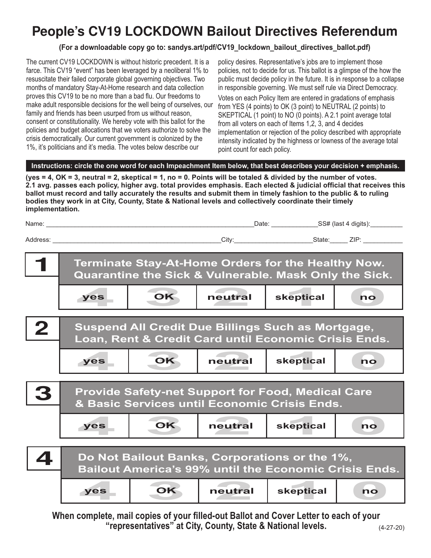## **People's CV19 LOCKDOWN Bailout Directives Referendum**

## **(For a downloadable copy go to: sandys.art/pdf/CV19\_lockdown\_bailout\_directives\_ballot.pdf)**

The current CV19 LOCKDOWN is without historic precedent. It is a farce. This CV19 "event" has been leveraged by a neoliberal 1% to resuscitate their failed corporate global governing objectives. Two months of mandatory Stay-At-Home research and data collection proves this CV19 to be no more than a bad flu. Our freedoms to make adult responsible decisions for the well being of ourselves, our family and friends has been usurped from us without reason, consent or constitutionality. We hereby vote with this ballot for the policies and budget allocations that we voters authorize to solve the crisis democratically. Our current government is colonized by the 1%, it's politicians and it's media. The votes below describe our

policy desires. Representative's jobs are to implement those policies, not to decide for us. This ballot is a glimpse of the how the public must decide policy in the future. It is in response to a collapse in responsible governing. We must self rule via Direct Democracy.

Votes on each Policy Item are entered in gradations of emphasis from YES (4 points) to OK (3 point) to NEUTRAL (2 points) to SKEPTICAL (1 point) to NO (0 points). A 2.1 point average total from all voters on each of Items 1,2, 3, and 4 decides implementation or rejection of the policy described with appropriate intensity indicated by the highness or lowness of the average total point count for each policy.

## **Instructions: circle the one word for each Impeachment Item below, that best describes your decision + emphasis.**

**(yes = 4, OK = 3, neutral = 2, skeptical = 1, no = 0. Points will be totaled & divided by the number of votes. 2.1 avg. passes each policy, higher avg. total provides emphasis. Each elected & judicial official that receives this ballot must record and tally accurately the results and submit them in timely fashion to the public & to ruling bodies they work in at City, County, State & National levels and collectively coordinate their timely implementation.**

| Name:    | Date: | _SS# (last 4 digits):_ |
|----------|-------|------------------------|
| Address: | City: | ZIP:<br>State:         |
|          |       |                        |



**When complete, mail copies of your filled-out Ballot and Cover Letter to each of your "representatives" at City, County, State & National levels.**